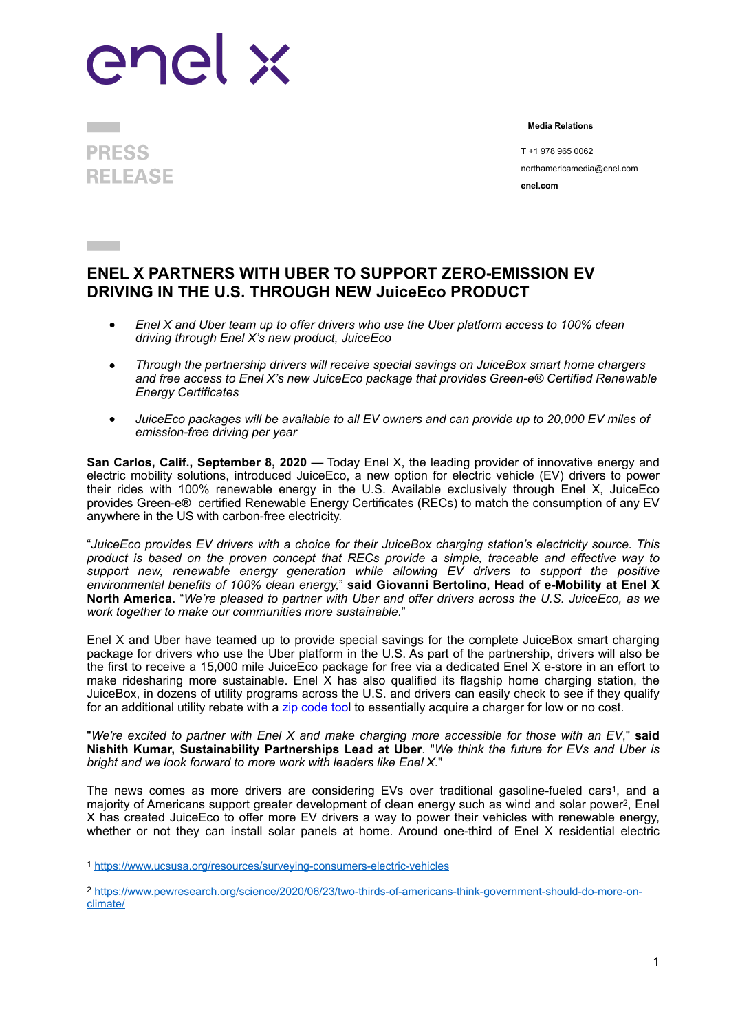## enel x

I **PRESS RELEASE** 

 **Media Relations** 

 T +1 978 965 0062 northamericamedia@enel.com **enel.com**

## **ENEL X PARTNERS WITH UBER TO SUPPORT ZERO-EMISSION EV DRIVING IN THE U.S. THROUGH NEW JuiceEco PRODUCT**

- *Enel X and Uber team up to offer drivers who use the Uber platform access to 100% clean driving through Enel X's new product, JuiceEco*
- *Through the partnership drivers will receive special savings on JuiceBox smart home chargers and free access to Enel X's new JuiceEco package that provides Green-e® Certified Renewable Energy Certificates*
- *JuiceEco packages will be available to all EV owners and can provide up to 20,000 EV miles of emission-free driving per year*

**San Carlos, Calif., September 8, 2020** — Today Enel X, the leading provider of innovative energy and electric mobility solutions, introduced JuiceEco, a new option for electric vehicle (EV) drivers to power their rides with 100% renewable energy in the U.S. Available exclusively through Enel X, JuiceEco provides Green-e® certified Renewable Energy Certificates (RECs) to match the consumption of any EV anywhere in the US with carbon-free electricity.

"*JuiceEco provides EV drivers with a choice for their JuiceBox charging station's electricity source. This product is based on the proven concept that RECs provide a simple, traceable and effective way to support new, renewable energy generation while allowing EV drivers to support the positive environmental benefits of 100% clean energy,*" **said Giovanni Bertolino, Head of e-Mobility at Enel X North America.** "*We're pleased to partner with Uber and offer drivers across the U.S. JuiceEco, as we work together to make our communities more sustainable.*"

Enel X and Uber have teamed up to provide special savings for the complete JuiceBox smart charging package for drivers who use the Uber platform in the U.S. As part of the partnership, drivers will also be the first to receive a 15,000 mile JuiceEco package for free via a dedicated Enel X e-store in an effort to make ridesharing more sustainable. Enel X has also qualified its flagship home charging station, the JuiceBox, in dozens of utility programs across the U.S. and drivers can easily check to see if they qualify for an additional utility rebate with a [zip code too](https://evcharging.enelx.com/resources/federal-and-state-electric-vehicle-incentives)l to essentially acquire a charger for low or no cost.

"*We're excited to partner with Enel X and make charging more accessible for those with an EV*," **said Nishith Kumar, Sustainability Partnerships Lead at Uber**. "*We think the future for EVs and Uber is bright and we look forward to more work with leaders like Enel X.*"

<span id="page-0-3"></span><span id="page-0-2"></span>The news comes as more drivers are considering EVs over traditional gasoline-fueled cars<sup>[1](#page-0-0)</sup>, and a majority of Americans support greater development of clean energy such as wind and solar power<sup>[2](#page-0-1)</sup>, Enel X has created JuiceEco to offer more EV drivers a way to power their vehicles with renewable energy, whether or not they can install solar panels at home. Around one-third of Enel X residential electric

<span id="page-0-0"></span><https://www.ucsusa.org/resources/surveying-consumers-electric-vehicles> [1](#page-0-2)

<span id="page-0-1"></span>[https://www.pewresearch.org/science/2020/06/23/two-thirds-of-americans-think-government-should-do-more-on-](https://www.pewresearch.org/science/2020/06/23/two-thirds-of-americans-think-government-should-do-more-on-climate/) [2](#page-0-3) [climate/](https://www.pewresearch.org/science/2020/06/23/two-thirds-of-americans-think-government-should-do-more-on-climate/)